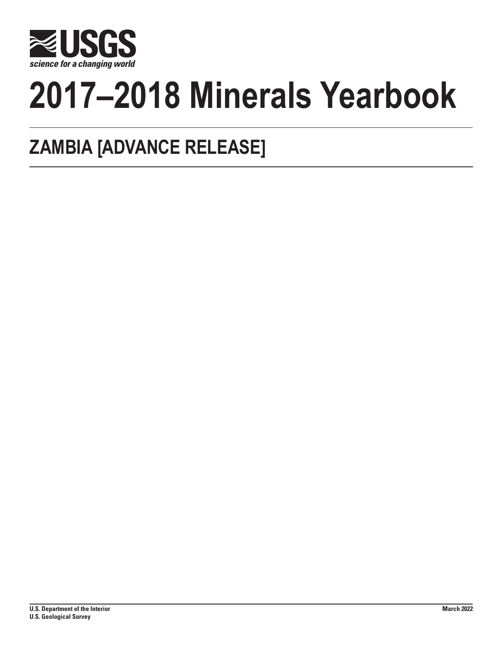

# **2017–2018 Minerals Yearbook**

## **ZAMBIA [ADVANCE RELEASE]**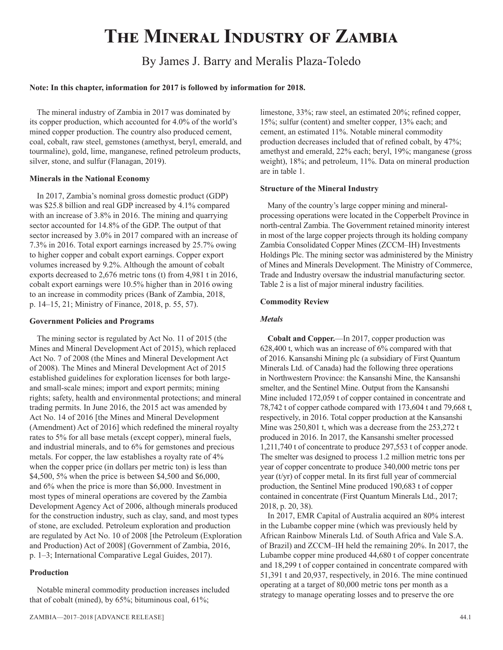## **The Mineral Industry of Zambia**

### By James J. Barry and Meralis Plaza-Toledo

#### **Note: In this chapter, information for 2017 is followed by information for 2018.**

The mineral industry of Zambia in 2017 was dominated by its copper production, which accounted for 4.0% of the world's mined copper production. The country also produced cement, coal, cobalt, raw steel, gemstones (amethyst, beryl, emerald, and tourmaline), gold, lime, manganese, refined petroleum products, silver, stone, and sulfur (Flanagan, 2019).

#### **Minerals in the National Economy**

In 2017, Zambia's nominal gross domestic product (GDP) was \$25.8 billion and real GDP increased by 4.1% compared with an increase of 3.8% in 2016. The mining and quarrying sector accounted for 14.8% of the GDP. The output of that sector increased by 3.0% in 2017 compared with an increase of 7.3% in 2016. Total export earnings increased by 25.7% owing to higher copper and cobalt export earnings. Copper export volumes increased by 9.2%. Although the amount of cobalt exports decreased to 2,676 metric tons (t) from 4,981 t in 2016, cobalt export earnings were 10.5% higher than in 2016 owing to an increase in commodity prices (Bank of Zambia, 2018, p. 14–15, 21; Ministry of Finance, 2018, p. 55, 57).

#### **Government Policies and Programs**

The mining sector is regulated by Act No. 11 of 2015 (the Mines and Mineral Development Act of 2015), which replaced Act No. 7 of 2008 (the Mines and Mineral Development Act of 2008). The Mines and Mineral Development Act of 2015 established guidelines for exploration licenses for both largeand small-scale mines; import and export permits; mining rights; safety, health and environmental protections; and mineral trading permits. In June 2016, the 2015 act was amended by Act No. 14 of 2016 [the Mines and Mineral Development (Amendment) Act of 2016] which redefined the mineral royalty rates to 5% for all base metals (except copper), mineral fuels, and industrial minerals, and to 6% for gemstones and precious metals. For copper, the law establishes a royalty rate of 4% when the copper price (in dollars per metric ton) is less than \$4,500, 5% when the price is between \$4,500 and \$6,000, and 6% when the price is more than \$6,000. Investment in most types of mineral operations are covered by the Zambia Development Agency Act of 2006, although minerals produced for the construction industry, such as clay, sand, and most types of stone, are excluded. Petroleum exploration and production are regulated by Act No. 10 of 2008 [the Petroleum (Exploration and Production) Act of 2008] (Government of Zambia, 2016, p. 1–3; International Comparative Legal Guides, 2017).

#### **Production**

Notable mineral commodity production increases included that of cobalt (mined), by 65%; bituminous coal, 61%;

limestone, 33%; raw steel, an estimated 20%; refined copper, 15%; sulfur (content) and smelter copper, 13% each; and cement, an estimated 11%. Notable mineral commodity production decreases included that of refined cobalt, by 47%; amethyst and emerald, 22% each; beryl, 19%; manganese (gross weight), 18%; and petroleum, 11%. Data on mineral production are in table 1.

#### **Structure of the Mineral Industry**

Many of the country's large copper mining and mineralprocessing operations were located in the Copperbelt Province in north-central Zambia. The Government retained minority interest in most of the large copper projects through its holding company Zambia Consolidated Copper Mines (ZCCM–IH) Investments Holdings Plc. The mining sector was administered by the Ministry of Mines and Minerals Development. The Ministry of Commerce, Trade and Industry oversaw the industrial manufacturing sector. Table 2 is a list of major mineral industry facilities.

#### **Commodity Review**

#### *Metals*

**Cobalt and Copper.**—In 2017, copper production was 628,400 t, which was an increase of 6% compared with that of 2016. Kansanshi Mining plc (a subsidiary of First Quantum Minerals Ltd. of Canada) had the following three operations in Northwestern Province: the Kansanshi Mine, the Kansanshi smelter, and the Sentinel Mine. Output from the Kansanshi Mine included 172,059 t of copper contained in concentrate and 78,742 t of copper cathode compared with 173,604 t and 79,668 t, respectively, in 2016. Total copper production at the Kansanshi Mine was 250,801 t, which was a decrease from the 253,272 t produced in 2016. In 2017, the Kansanshi smelter processed 1,211,740 t of concentrate to produce 297,553 t of copper anode. The smelter was designed to process 1.2 million metric tons per year of copper concentrate to produce 340,000 metric tons per year (t/yr) of copper metal. In its first full year of commercial production, the Sentinel Mine produced 190,683 t of copper contained in concentrate (First Quantum Minerals Ltd., 2017; 2018, p. 20, 38).

In 2017, EMR Capital of Australia acquired an 80% interest in the Lubambe copper mine (which was previously held by African Rainbow Minerals Ltd. of South Africa and Vale S.A. of Brazil) and ZCCM–IH held the remaining 20%. In 2017, the Lubambe copper mine produced 44,680 t of copper concentrate and 18,299 t of copper contained in concentrate compared with 51,391 t and 20,937, respectively, in 2016. The mine continued operating at a target of 80,000 metric tons per month as a strategy to manage operating losses and to preserve the ore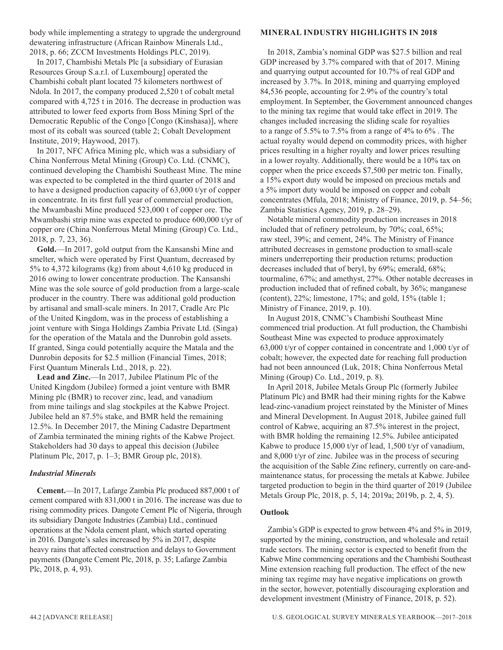body while implementing a strategy to upgrade the underground dewatering infrastructure (African Rainbow Minerals Ltd., 2018, p. 66; ZCCM Investments Holdings PLC, 2019).

In 2017, Chambishi Metals Plc [a subsidiary of Eurasian Resources Group S.a.r.l. of Luxembourg] operated the Chambishi cobalt plant located 75 kilometers northwest of Ndola. In 2017, the company produced 2,520 t of cobalt metal compared with 4,725 t in 2016. The decrease in production was attributed to lower feed exports from Boss Mining Sprl of the Democratic Republic of the Congo [Congo (Kinshasa)], where most of its cobalt was sourced (table 2; Cobalt Development Institute, 2019; Haywood, 2017).

In 2017, NFC Africa Mining plc, which was a subsidiary of China Nonferrous Metal Mining (Group) Co. Ltd. (CNMC), continued developing the Chambishi Southeast Mine. The mine was expected to be completed in the third quarter of 2018 and to have a designed production capacity of 63,000 t/yr of copper in concentrate. In its first full year of commercial production, the Mwambashi Mine produced 523,000 t of copper ore. The Mwambashi strip mine was expected to produce 600,000 t/yr of copper ore (China Nonferrous Metal Mining (Group) Co. Ltd., 2018, p. 7, 23, 36).

**Gold.**—In 2017, gold output from the Kansanshi Mine and smelter, which were operated by First Quantum, decreased by 5% to 4,372 kilograms (kg) from about 4,610 kg produced in 2016 owing to lower concentrate production. The Kansanshi Mine was the sole source of gold production from a large-scale producer in the country. There was additional gold production by artisanal and small-scale miners. In 2017, Cradle Arc Plc of the United Kingdom, was in the process of establishing a joint venture with Singa Holdings Zambia Private Ltd. (Singa) for the operation of the Matala and the Dunrobin gold assets. If granted, Singa could potentially acquire the Matala and the Dunrobin deposits for \$2.5 million (Financial Times, 2018; First Quantum Minerals Ltd., 2018, p. 22).

**Lead and Zinc.**—In 2017, Jubilee Platinum Plc of the United Kingdom (Jubilee) formed a joint venture with BMR Mining plc (BMR) to recover zinc, lead, and vanadium from mine tailings and slag stockpiles at the Kabwe Project. Jubilee held an 87.5% stake, and BMR held the remaining 12.5%. In December 2017, the Mining Cadastre Department of Zambia terminated the mining rights of the Kabwe Project. Stakeholders had 30 days to appeal this decision (Jubilee Platinum Plc, 2017, p. 1–3; BMR Group plc, 2018).

#### *Industrial Minerals*

**Cement.**—In 2017, Lafarge Zambia Plc produced 887,000 t of cement compared with 831,000 t in 2016. The increase was due to rising commodity prices. Dangote Cement Plc of Nigeria, through its subsidiary Dangote Industries (Zambia) Ltd., continued operations at the Ndola cement plant, which started operating in 2016. Dangote's sales increased by 5% in 2017, despite heavy rains that affected construction and delays to Government payments (Dangote Cement Plc, 2018, p. 35; Lafarge Zambia Plc, 2018, p. 4, 93).

#### **MINERAL INDUSTRY HIGHLIGHTS IN 2018**

In 2018, Zambia's nominal GDP was \$27.5 billion and real GDP increased by 3.7% compared with that of 2017. Mining and quarrying output accounted for 10.7% of real GDP and increased by 3.7%. In 2018, mining and quarrying employed 84,536 people, accounting for 2.9% of the country's total employment. In September, the Government announced changes to the mining tax regime that would take effect in 2019. The changes included increasing the sliding scale for royalties to a range of 5.5% to 7.5% from a range of 4% to 6% . The actual royalty would depend on commodity prices, with higher prices resulting in a higher royalty and lower prices resulting in a lower royalty. Additionally, there would be a 10% tax on copper when the price exceeds \$7,500 per metric ton. Finally, a 15% export duty would be imposed on precious metals and a 5% import duty would be imposed on copper and cobalt concentrates (Mfula, 2018; Ministry of Finance, 2019, p. 54–56; Zambia Statistics Agency, 2019, p. 28–29).

Notable mineral commodity production increases in 2018 included that of refinery petroleum, by 70%; coal, 65%; raw steel, 39%; and cement, 24%. The Ministry of Finance attributed decreases in gemstone production to small-scale miners underreporting their production returns; production decreases included that of beryl, by 69%; emerald, 68%; tourmaline, 67%; and amethyst, 27%. Other notable decreases in production included that of refined cobalt, by 36%; manganese (content), 22%; limestone, 17%; and gold, 15% (table 1; Ministry of Finance, 2019, p. 10).

In August 2018, CNMC's Chambishi Southeast Mine commenced trial production. At full production, the Chambishi Southeast Mine was expected to produce approximately 63,000 t/yr of copper contained in concentrate and 1,000 t/yr of cobalt; however, the expected date for reaching full production had not been announced (Luk, 2018; China Nonferrous Metal Mining (Group) Co. Ltd., 2019, p. 8).

In April 2018, Jubilee Metals Group Plc (formerly Jubilee Platinum Plc) and BMR had their mining rights for the Kabwe lead-zinc-vanadium project reinstated by the Minister of Mines and Mineral Development. In August 2018, Jubilee gained full control of Kabwe, acquiring an 87.5% interest in the project, with BMR holding the remaining 12.5%. Jubilee anticipated Kabwe to produce 15,000 t/yr of lead, 1,500 t/yr of vanadium, and 8,000 t/yr of zinc. Jubilee was in the process of securing the acquisition of the Sable Zinc refinery, currently on care-andmaintenance status, for processing the metals at Kabwe. Jubilee targeted production to begin in the third quarter of 2019 (Jubilee Metals Group Plc, 2018, p. 5, 14; 2019a; 2019b, p. 2, 4, 5).

#### **Outlook**

Zambia's GDP is expected to grow between 4% and 5% in 2019, supported by the mining, construction, and wholesale and retail trade sectors. The mining sector is expected to benefit from the Kabwe Mine commencing operations and the Chambishi Southeast Mine extension reaching full production. The effect of the new mining tax regime may have negative implications on growth in the sector, however, potentially discouraging exploration and development investment (Ministry of Finance, 2018, p. 52).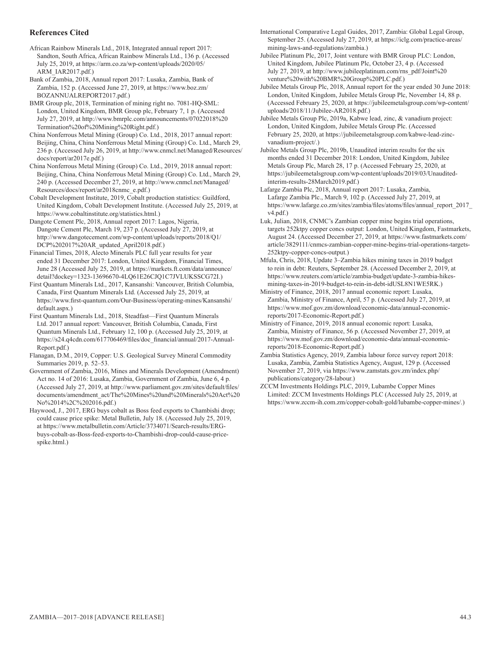#### **References Cited**

African Rainbow Minerals Ltd., 2018, Integrated annual report 2017: Sandton, South Africa, African Rainbow Minerals Ltd., 136 p. (Accessed July 25, 2019, at https://arm.co.za/wp-content/uploads/2020/05/ ARM\_IAR2017.pdf.)

Bank of Zambia, 2018, Annual report 2017: Lusaka, Zambia, Bank of Zambia, 152 p. (Accessed June 27, 2019, at https://www.boz.zm/ BOZANNUALREPORT2017.pdf.)

BMR Group plc, 2018, Termination of mining right no. 7081-HQ-SML: London, United Kingdom, BMR Group plc, February 7, 1 p. (Accessed July 27, 2019, at http://www.bmrplc.com/announcements/07022018%20 Termination%20of%20Mining%20Right.pdf.)

China Nonferrous Metal Mining (Group) Co. Ltd., 2018, 2017 annual report: Beijing, China, China Nonferrous Metal Mining (Group) Co. Ltd., March 29, 236 p. (Accessed July 26, 2019, at http://www.cnmcl.net/Managed/Resources/ docs/report/ar2017e.pdf.)

China Nonferrous Metal Mining (Group) Co. Ltd., 2019, 2018 annual report: Beijing, China, China Nonferrous Metal Mining (Group) Co. Ltd., March 29, 240 p. (Accessed December 27, 2019, at http://www.cnmcl.net/Managed/ Resources/docs/report/ar2018cnmc\_e.pdf.)

Cobalt Development Institute, 2019, Cobalt production statistics: Guildford, United Kingdom, Cobalt Development Institute. (Accessed July 25, 2019, at https://www.cobaltinstitute.org/statistics.html.)

Dangote Cement Plc, 2018, Annual report 2017: Lagos, Nigeria, Dangote Cement Plc, March 19, 237 p. (Accessed July 27, 2019, at http://www.dangotecement.com/wp-content/uploads/reports/2018/Q1/ DCP%202017%20AR\_updated\_April2018.pdf.)

Financial Times, 2018, Alecto Minerals PLC full year results for year ended 31 December 2017: London, United Kingdom, Financial Times, June 28 (Accessed July 25, 2019, at https://markets.ft.com/data/announce/ detail?dockey=1323-13696670-4LQ61E26CJQ1C7JVLUKSSCG72I.)

First Quantum Minerals Ltd., 2017, Kansanshi: Vancouver, British Columbia, Canada, First Quantum Minerals Ltd. (Accessed July 25, 2019, at https://www.first-quantum.com/Our-Business/operating-mines/Kansanshi/ default.aspx.)

First Quantum Minerals Ltd., 2018, Steadfast—First Quantum Minerals Ltd. 2017 annual report: Vancouver, British Columbia, Canada, First Quantum Minerals Ltd., February 12, 100 p. (Accessed July 25, 2019, at https://s24.q4cdn.com/617706469/files/doc\_financial/annual/2017-Annual-Report.pdf.)

Flanagan, D.M., 2019, Copper: U.S. Geological Survey Mineral Commodity Summaries 2019, p. 52–53.

Government of Zambia, 2016, Mines and Minerals Development (Amendment) Act no. 14 of 2016: Lusaka, Zambia, Government of Zambia, June 6, 4 p. (Accessed July 27, 2019, at http://www.parliament.gov.zm/sites/default/files/ documents/amendment\_act/The%20Mines%20and%20Minerals%20Act%20 No%2014%2C%202016.pdf.)

Haywood, J., 2017, ERG buys cobalt as Boss feed exports to Chambishi drop; could cause price spike: Metal Bulletin, July 18. (Accessed July 25, 2019, at https://www.metalbulletin.com/Article/3734071/Search-results/ERGbuys-cobalt-as-Boss-feed-exports-to-Chambishi-drop-could-cause-pricespike.html.)

International Comparative Legal Guides, 2017, Zambia: Global Legal Group, September 25. (Accessed July 27, 2019, at https://iclg.com/practice-areas/ mining-laws-and-regulations/zambia.)

Jubilee Platinum Plc, 2017, Joint venture with BMR Group PLC: London, United Kingdom, Jubilee Platinum Plc, October 23, 4 p. (Accessed July 27, 2019, at http://www.jubileeplatinum.com/rns\_pdf/Joint%20 venture%20with%20BMR%20Group%20PLC.pdf.)

Jubilee Metals Group Plc, 2018, Annual report for the year ended 30 June 2018: London, United Kingdom, Jubilee Metals Group Plc, November 14, 88 p. (Accessed February 25, 2020, at https://jubileemetalsgroup.com/wp-content/ uploads/2018/11/Jubilee-AR2018.pdf.)

Jubilee Metals Group Plc, 2019a, Kabwe lead, zinc, & vanadium project: London, United Kingdom, Jubilee Metals Group Plc. (Accessed February 25, 2020, at https://jubileemetalsgroup.com/kabwe-lead-zincvanadium-project/.)

Jubilee Metals Group Plc, 2019b, Unaudited interim results for the six months ended 31 December 2018: London, United Kingdom, Jubilee Metals Group Plc, March 28, 17 p. (Accessed February 25, 2020, at https://jubileemetalsgroup.com/wp-content/uploads/2019/03/Unauditedinterim-results-28March2019.pdf.)

Lafarge Zambia Plc, 2018, Annual report 2017: Lusaka, Zambia, Lafarge Zambia Plc., March 9, 102 p. (Accessed July 27, 2019, at https://www.lafarge.co.zm/sites/zambia/files/atoms/files/annual\_report\_2017\_ v4.pdf.)

Luk, Julian, 2018, CNMC's Zambian copper mine begins trial operations, targets 252ktpy copper concs output: London, United Kingdom, Fastmarkets, August 24. (Accessed December 27, 2019, at https://www.fastmarkets.com/ article/3829111/cnmcs-zambian-copper-mine-begins-trial-operations-targets-252ktpy-copper-concs-output.)

Mfula, Chris, 2018, Update 3–Zambia hikes mining taxes in 2019 budget to rein in debt: Reuters, September 28. (Accessed December 2, 2019, at https://www.reuters.com/article/zambia-budget/update-3-zambia-hikesmining-taxes-in-2019-budget-to-rein-in-debt-idUSL8N1WE5RK.)

Ministry of Finance, 2018, 2017 annual economic report: Lusaka, Zambia, Ministry of Finance, April, 57 p. (Accessed July 27, 2019, at https://www.mof.gov.zm/download/economic-data/annual-economicreports/2017-Economic-Report.pdf.)

Ministry of Finance, 2019, 2018 annual economic report: Lusaka, Zambia, Ministry of Finance, 56 p. (Accessed November 27, 2019, at https://www.mof.gov.zm/download/economic-data/annual-economicreports/2018-Economic-Report.pdf.)

Zambia Statistics Agency, 2019, Zambia labour force survey report 2018: Lusaka, Zambia, Zambia Statistics Agency, August, 129 p. (Accessed November 27, 2019, via https://www.zamstats.gov.zm/index.php/ publications/category/28-labour.)

ZCCM Investments Holdings PLC, 2019, Lubambe Copper Mines Limited: ZCCM Investments Holdings PLC (Accessed July 25, 2019, at https://www.zccm-ih.com.zm/copper-cobalt-gold/lubambe-copper-mines/.)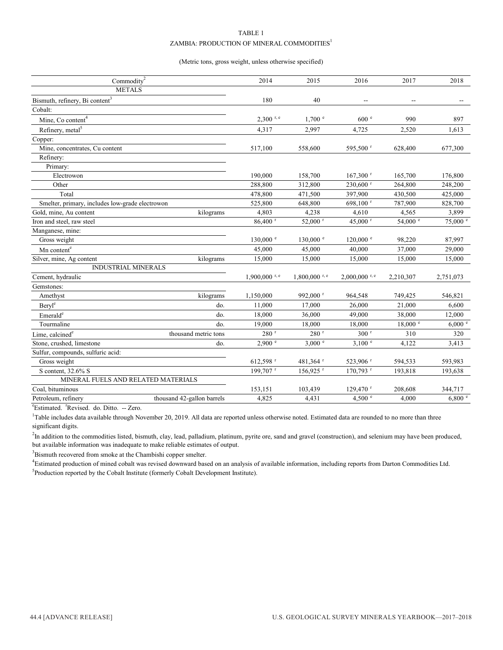#### TABLE 1 ZAMBIA: PRODUCTION OF MINERAL COMMODITIES<sup>1</sup>

#### (Metric tons, gross weight, unless otherwise specified)

| $\mbox{Commodity}^2$                            |                            | 2014                   | 2015                 | 2016                   | 2017              | 2018      |
|-------------------------------------------------|----------------------------|------------------------|----------------------|------------------------|-------------------|-----------|
| <b>METALS</b>                                   |                            |                        |                      |                        |                   |           |
| Bismuth, refinery, Bi content <sup>3</sup>      |                            | 180                    | 40                   | $\overline{a}$         | --                |           |
| Cobalt:                                         |                            |                        |                      |                        |                   |           |
| Mine, Co content <sup>4</sup>                   |                            | $2.300$ r, e           | 1.700 e              | 600 <sup>e</sup>       | 990               | 897       |
| Refinery, metal <sup>5</sup>                    |                            | 4,317                  | 2,997                | 4,725                  | 2,520             | 1,613     |
| Copper:                                         |                            |                        |                      |                        |                   |           |
| Mine, concentrates, Cu content                  |                            | 517,100                | 558,600              | 595,500 r              | 628,400           | 677,300   |
| Refinery:                                       |                            |                        |                      |                        |                   |           |
| Primary:                                        |                            |                        |                      |                        |                   |           |
| Electrowon                                      |                            | 190,000                | 158,700              | $167,300$ <sup>r</sup> | 165,700           | 176,800   |
| Other                                           |                            | 288,800                | 312,800              | $230,600$ <sup>r</sup> | 264,800           | 248,200   |
| Total                                           |                            | 478,800                | 471,500              | 397,900                | 430,500           | 425,000   |
| Smelter, primary, includes low-grade electrowon |                            | 525,800                | 648,800              | 698,100 $r$            | 787,900           | 828,700   |
| Gold, mine, Au content                          | kilograms                  | 4,803                  | 4,238                | 4,610                  | 4,565             | 3,899     |
| Iron and steel, raw steel                       |                            | $86,400$ <sup>r</sup>  | 52,000 r             | 45,000 r               | 54,000 $^{\circ}$ | 75,000 e  |
| Manganese, mine:                                |                            |                        |                      |                        |                   |           |
| Gross weight                                    |                            | $130,000$ <sup>e</sup> | $130,000$ e          | $120,000$ <sup>e</sup> | 98,220            | 87,997    |
| Mn content <sup>e</sup>                         |                            | 45,000                 | 45,000               | 40,000                 | 37,000            | 29,000    |
| Silver, mine, Ag content                        | kilograms                  | 15,000                 | 15,000               | 15,000                 | 15,000            | 15,000    |
| <b>INDUSTRIAL MINERALS</b>                      |                            |                        |                      |                        |                   |           |
| Cement, hydraulic                               |                            | $1.900,000$ r, e       | $1.800,000$ r, e     | $2,000,000$ r, e       | 2,210,307         | 2,751,073 |
| Gemstones:                                      |                            |                        |                      |                        |                   |           |
| Amethyst                                        | kilograms                  | 1,150,000              | 992,000 <sup>r</sup> | 964,548                | 749,425           | 546,821   |
| Beryl <sup>e</sup>                              | do.                        | 11,000                 | 17,000               | 26,000                 | 21,000            | 6,600     |
| $\mathrm{Emerald}^\mathrm{e}$                   | do.                        | 18,000                 | 36,000               | 49,000                 | 38,000            | 12,000    |
| Tourmaline                                      | do.                        | 19,000                 | 18,000               | 18,000                 | 18,000 °          | 6,000 °   |
| Lime, calcined <sup>e</sup>                     | thousand metric tons       | $280$ <sup>r</sup>     | $280$ <sup>r</sup>   | 300 <sup>r</sup>       | 310               | 320       |
| Stone, crushed, limestone                       | do.                        | 2,900 °                | 3,000 °              | 3,100 °                | 4,122             | 3,413     |
| Sulfur, compounds, sulfuric acid:               |                            |                        |                      |                        |                   |           |
| Gross weight                                    |                            | 612,598 <sup>r</sup>   | 481,364 <sup>r</sup> | 523,906 r              | 594,533           | 593,983   |
| S content, 32.6% S                              |                            | 199,707 r              | 156,925 r            | 170,793 r              | 193,818           | 193,638   |
| MINERAL FUELS AND RELATED MATERIALS             |                            |                        |                      |                        |                   |           |
| Coal, bituminous                                |                            | 153,151                | 103,439              | 129,470 r              | 208,608           | 344,717   |
| Petroleum, refinery                             | thousand 42-gallon barrels | 4,825                  | 4,431                | 4,500 $^{\circ}$       | 4.000             | 6,800 °   |

<sup>e</sup>Estimated. <sup>r</sup>Revised. do. Ditto. -- Zero.

<sup>1</sup>Table includes data available through November 20, 2019. All data are reported unless otherwise noted. Estimated data are rounded to no more than three significant digits.

<sup>2</sup>In addition to the commodities listed, bismuth, clay, lead, palladium, platinum, pyrite ore, sand and gravel (construction), and selenium may have been produced, but available information was inadequate to make reliable estimates of output.

<sup>3</sup>Bismuth recovered from smoke at the Chambishi copper smelter.

<sup>5</sup>Production reported by the Cobalt Institute (formerly Cobalt Development Institute). 4 Estimated production of mined cobalt was revised downward based on an analysis of available information, including reports from Darton Commodities Ltd.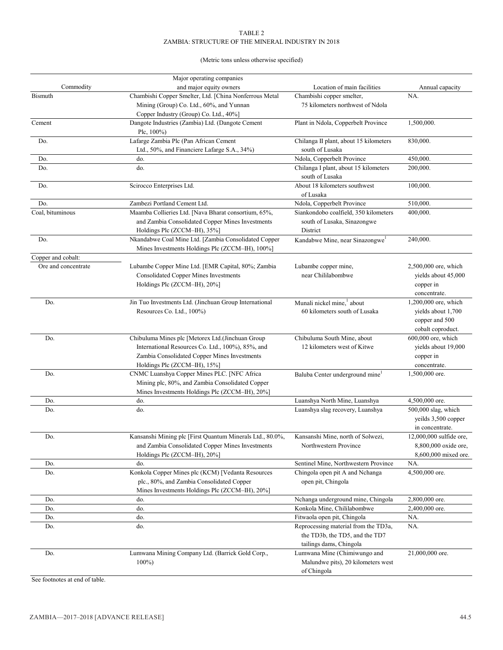#### TABLE 2 ZAMBIA: STRUCTURE OF THE MINERAL INDUSTRY IN 2018

#### (Metric tons unless otherwise specified)

|                     | Major operating companies                                 |                                        |                         |
|---------------------|-----------------------------------------------------------|----------------------------------------|-------------------------|
| Commodity           | and major equity owners                                   | Location of main facilities            | Annual capacity         |
| <b>Bismuth</b>      | Chambishi Copper Smelter, Ltd. [China Nonferrous Metal    | Chambishi copper smelter,              | NA.                     |
|                     | Mining (Group) Co. Ltd., 60%, and Yunnan                  | 75 kilometers northwest of Ndola       |                         |
|                     | Copper Industry (Group) Co. Ltd., 40%]                    |                                        |                         |
| Cement              | Dangote Industries (Zambia) Ltd. (Dangote Cement          | Plant in Ndola, Copperbelt Province    | 1,500,000.              |
|                     | Plc, 100%)                                                |                                        |                         |
| Do.                 | Lafarge Zambia Plc (Pan African Cement                    | Chilanga II plant, about 15 kilometers | 830,000.                |
|                     | Ltd., 50%, and Financiere Lafarge S.A., 34%)              | south of Lusaka                        |                         |
| Do.                 | do.                                                       | Ndola, Copperbelt Province             | 450,000.                |
| Do.                 | do.                                                       | Chilanga I plant, about 15 kilometers  | 200,000.                |
|                     |                                                           | south of Lusaka                        |                         |
| Do.                 | Scirocco Enterprises Ltd.                                 | About 18 kilometers southwest          | 100,000.                |
|                     |                                                           | of Lusaka                              |                         |
| Do.                 | Zambezi Portland Cement Ltd.                              | Ndola, Copperbelt Province             | 510,000.                |
| Coal, bituminous    | Maamba Collieries Ltd. [Nava Bharat consortium, 65%,      | Siankondobo coalfield, 350 kilometers  | 400,000.                |
|                     | and Zambia Consolidated Copper Mines Investments          | south of Lusaka, Sinazongwe            |                         |
|                     | Holdings Plc (ZCCM-IH), 35%]                              | District                               |                         |
| Do.                 | Nkandabwe Coal Mine Ltd. [Zambia Consolidated Copper      | Kandabwe Mine, near Sinazongwe         | 240,000.                |
|                     | Mines Investments Holdings Plc (ZCCM-IH), 100%]           |                                        |                         |
| Copper and cobalt:  |                                                           |                                        |                         |
| Ore and concentrate | Lubambe Copper Mine Ltd. [EMR Capital, 80%; Zambia        | Lubambe copper mine,                   | 2,500,000 ore, which    |
|                     | <b>Consolidated Copper Mines Investments</b>              | near Chililabombwe                     | yields about 45,000     |
|                     | Holdings Plc (ZCCM-IH), 20%]                              |                                        | copper in               |
|                     |                                                           |                                        | concentrate.            |
| Do.                 | Jin Tuo Investments Ltd. (Jinchuan Group International    | Munali nickel mine, <sup>1</sup> about | 1,200,000 ore, which    |
|                     | Resources Co. Ltd., 100%)                                 | 60 kilometers south of Lusaka          | yields about 1,700      |
|                     |                                                           |                                        | copper and 500          |
|                     |                                                           |                                        | cobalt coproduct.       |
| Do.                 | Chibuluma Mines plc [Metorex Ltd.(Jinchuan Group          | Chibuluma South Mine, about            | 600,000 ore, which      |
|                     | International Resources Co. Ltd., 100%), 85%, and         | 12 kilometers west of Kitwe            | yields about 19,000     |
|                     | Zambia Consolidated Copper Mines Investments              |                                        | copper in               |
|                     | Holdings Plc (ZCCM-IH), 15%]                              |                                        | concentrate.            |
| Do.                 | CNMC Luanshya Copper Mines PLC. [NFC Africa               | Baluba Center underground mine         | 1,500,000 ore.          |
|                     | Mining plc, 80%, and Zambia Consolidated Copper           |                                        |                         |
|                     | Mines Investments Holdings Plc (ZCCM-IH), 20%]            |                                        |                         |
| Do.                 | do.                                                       | Luanshya North Mine, Luanshya          | 4,500,000 ore.          |
| Do.                 | do.                                                       | Luanshya slag recovery, Luanshya       | 500,000 slag, which     |
|                     |                                                           |                                        | yeilds 3,500 copper     |
|                     |                                                           |                                        | in concentrate.         |
| Do.                 | Kansanshi Mining plc [First Quantum Minerals Ltd., 80.0%, | Kansanshi Mine, north of Solwezi,      | 12,000,000 sulfide ore, |
|                     | and Zambia Consolidated Copper Mines Investments          | Northwestern Province                  | 8,800,000 oxide ore,    |
|                     | Holdings Plc (ZCCM-IH), 20%]                              |                                        | 8,600,000 mixed ore.    |
| Do.                 | do.                                                       | Sentinel Mine, Northwestern Province   | NA.                     |
| Do.                 | Konkola Copper Mines plc (KCM) [Vedanta Resources         | Chingola open pit A and Nchanga        | 4,500,000 ore.          |
|                     | plc., 80%, and Zambia Consolidated Copper                 | open pit, Chingola                     |                         |
|                     | Mines Investments Holdings Plc (ZCCM-IH), 20%]            |                                        |                         |
| Do.                 | do.                                                       | Nchanga underground mine, Chingola     | 2,800,000 ore.          |
| Do.                 | do.                                                       | Konkola Mine, Chililabombwe            | 2,400,000 ore.          |
| Do.                 | do.                                                       | Fitwaola open pit, Chingola            | NA.                     |
| Do.                 | do.                                                       | Reprocessing material from the TD3a,   | NA.                     |
|                     |                                                           | the TD3b, the TD5, and the TD7         |                         |
|                     |                                                           | tailings dams, Chingola                |                         |
| Do.                 | Lumwana Mining Company Ltd. (Barrick Gold Corp.,          | Lumwana Mine (Chimiwungo and           | 21,000,000 ore.         |
|                     | $100\%$                                                   | Malundwe pits), 20 kilometers west     |                         |
|                     |                                                           | of Chingola                            |                         |

See footnotes at end of table.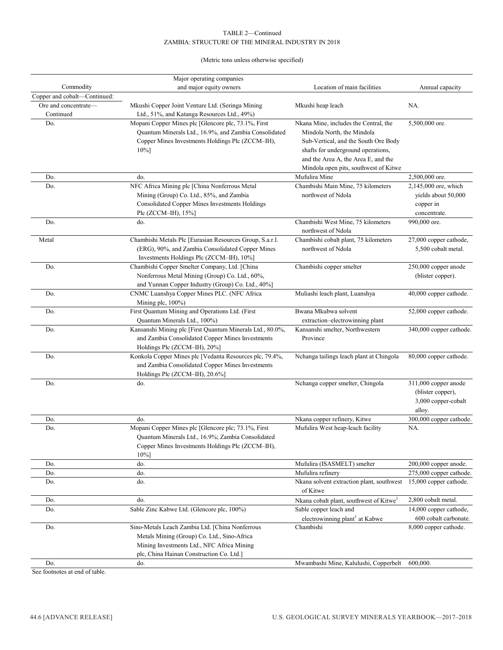#### TABLE 2—Continued ZAMBIA: STRUCTURE OF THE MINERAL INDUSTRY IN 2018

(Metric tons unless otherwise specified)

|                              | Major operating companies                                 |                                                     |                                   |
|------------------------------|-----------------------------------------------------------|-----------------------------------------------------|-----------------------------------|
| Commodity                    | and major equity owners                                   | Location of main facilities                         | Annual capacity                   |
| Copper and cobalt-Continued: |                                                           |                                                     |                                   |
| Ore and concentrate-         | Mkushi Copper Joint Venture Ltd. (Seringa Mining          | Mkushi heap leach                                   | NA.                               |
| Continued                    | Ltd., 51%, and Katanga Resources Ltd., 49%)               |                                                     |                                   |
| Do.                          | Mopani Copper Mines plc [Glencore plc, 73.1%, First       | Nkana Mine, includes the Central, the               | 5,500,000 ore.                    |
|                              | Quantum Minerals Ltd., 16.9%, and Zambia Consolidated     | Mindola North, the Mindola                          |                                   |
|                              | Copper Mines Investments Holdings Plc (ZCCM-IH),          | Sub-Vertical, and the South Ore Body                |                                   |
|                              | $10\%$ ]                                                  | shafts for underground operations,                  |                                   |
|                              |                                                           | and the Area A, the Area E, and the                 |                                   |
|                              |                                                           | Mindola open pits, southwest of Kitwe               |                                   |
| Do.                          | do.                                                       | Mufulira Mine                                       | 2,500,000 ore.                    |
| Do.                          | NFC Africa Mining plc [China Nonferrous Metal             | Chambishi Main Mine, 75 kilometers                  | 2,145,000 ore, which              |
|                              | Mining (Group) Co. Ltd., 85%, and Zambia                  | northwest of Ndola                                  | yields about 50,000               |
|                              | Consolidated Copper Mines Investments Holdings            |                                                     | copper in                         |
|                              | Plc (ZCCM-IH), 15%]                                       |                                                     | concentrate.                      |
| Do.                          | do.                                                       | Chambishi West Mine, 75 kilometers                  | 990,000 ore.                      |
|                              |                                                           | northwest of Ndola                                  |                                   |
| Metal                        | Chambishi Metals Plc [Eurasian Resources Group, S.a.r.l.  | Chambishi cobalt plant, 75 kilometers               | 27,000 copper cathode,            |
|                              | (ERG), 90%, and Zambia Consolidated Copper Mines          | northwest of Ndola                                  | 5,500 cobalt metal.               |
|                              | Investments Holdings Plc (ZCCM-IH), 10%]                  |                                                     |                                   |
| Do.                          | Chambishi Copper Smelter Company, Ltd. [China             | Chambishi copper smelter                            | 250,000 copper anode              |
|                              | Nonferrous Metal Mining (Group) Co. Ltd., 60%,            |                                                     | (blister copper).                 |
|                              | and Yunnan Copper Industry (Group) Co. Ltd., 40%]         |                                                     |                                   |
| Do.                          | CNMC Luanshya Copper Mines PLC. (NFC Africa               | Muliashi leach plant, Luanshya                      | 40,000 copper cathode.            |
|                              | Mining plc, 100%)                                         |                                                     |                                   |
| Do.                          | First Quantum Mining and Operations Ltd. (First           | Bwana Mkubwa solvent                                | 52,000 copper cathode.            |
|                              | Quantum Minerals Ltd., 100%)                              | extraction-electrowinning plant                     |                                   |
| Do.                          | Kansanshi Mining plc [First Quantum Minerals Ltd., 80.0%, | Kansanshi smelter, Northwestern                     | 340,000 copper cathode.           |
|                              | and Zambia Consolidated Copper Mines Investments          | Province                                            |                                   |
|                              | Holdings Plc (ZCCM-IH), 20%]                              |                                                     |                                   |
| Do.                          | Konkola Copper Mines plc [Vedanta Resources plc, 79.4%,   | Nchanga tailings leach plant at Chingola            | 80,000 copper cathode.            |
|                              | and Zambia Consolidated Copper Mines Investments          |                                                     |                                   |
|                              | Holdings Plc (ZCCM-IH), 20.6%]                            |                                                     |                                   |
| Do.                          | do.                                                       | Nchanga copper smelter, Chingola                    | 311,000 copper anode              |
|                              |                                                           |                                                     | (blister copper),                 |
|                              |                                                           |                                                     | 3,000 copper-cobalt               |
|                              |                                                           |                                                     |                                   |
|                              | do.                                                       | Nkana copper refinery, Kitwe                        | alloy.<br>300,000 copper cathode. |
| Do.                          |                                                           |                                                     |                                   |
| Do.                          | Mopani Copper Mines plc [Glencore plc; 73.1%, First       | Mufulira West heap-leach facility                   | NA.                               |
|                              | Quantum Minerals Ltd., 16.9%; Zambia Consolidated         |                                                     |                                   |
|                              | Copper Mines Investments Holdings Plc (ZCCM-IH),          |                                                     |                                   |
|                              | $10%$ ]                                                   |                                                     |                                   |
| Do.                          | do.                                                       | Mufulira (ISASMELT) smelter                         | 200,000 copper anode.             |
| Do.                          | do.                                                       | Mufulira refinery                                   | 275,000 copper cathode.           |
| Do.                          | do.                                                       | Nkana solvent extraction plant, southwest           | 15,000 copper cathode.            |
|                              |                                                           | of Kitwe                                            |                                   |
| Do.                          | do.                                                       | Nkana cobalt plant, southwest of Kitwe <sup>1</sup> | 2,800 cobalt metal.               |
| Do.                          | Sable Zinc Kabwe Ltd. (Glencore plc, 100%)                | Sable copper leach and                              | 14,000 copper cathode,            |
|                              |                                                           | electrowinning plant <sup>1</sup> at Kabwe          | 600 cobalt carbonate.             |
| Do.                          | Sino-Metals Leach Zambia Ltd. [China Nonferrous           | Chambishi                                           | 8,000 copper cathode.             |
|                              | Metals Mining (Group) Co. Ltd., Sino-Africa               |                                                     |                                   |
|                              | Mining Investments Ltd., NFC Africa Mining                |                                                     |                                   |
|                              | plc, China Hainan Construction Co. Ltd.]                  |                                                     |                                   |
| Do.                          | do.                                                       | Mwambashi Mine, Kalulushi, Copperbelt               | 600,000.                          |

See footnotes at end of table.